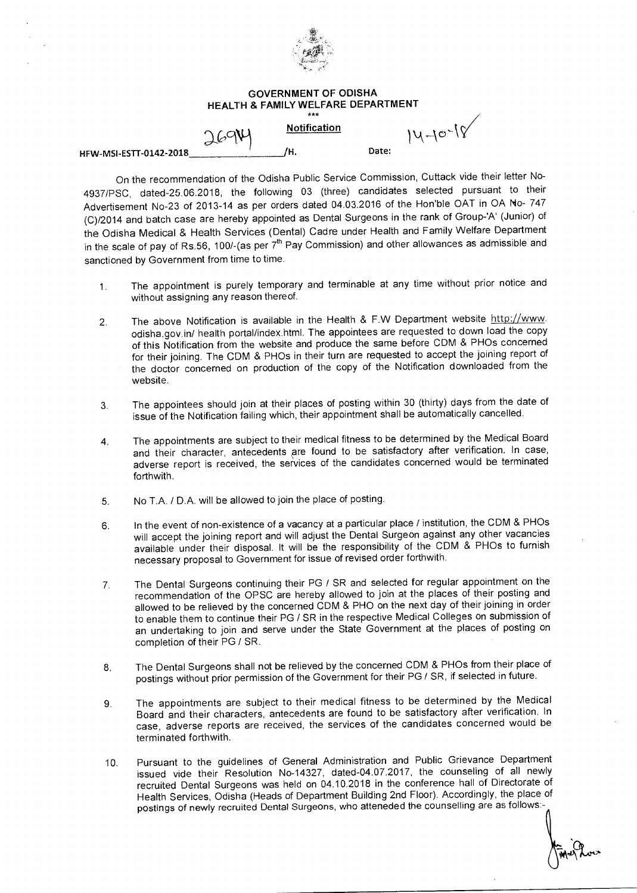

## **GOVERNMENT OF ODISHA HEALTH & FAMILY WELFARE DEPARTMENT**

|                        | 769M | <b>Notification</b> |       | $14-10^{-18}$ |
|------------------------|------|---------------------|-------|---------------|
| HFW-MSI-ESTT-0142-2018 |      | ΊН.                 | Date: |               |

On the recommendation of the Odisha Public Service Commission, Cuttack vide their letter No-4937/PSC, dated-25.06.2018, the following 03 (three) candidates selected pursuant to their Advertisement No-23 of 2013-14 as per orders dated 04.03.2016 of the Hon'ble OAT in OA No- 747 (C)/2014 and batch case are hereby appointed as Dental Surgeons in the rank of Group-'A' (Junior) of the Odisha Medical & Health Services (Dental) Cadre under Health and Family Welfare Department in the scale of pay of Rs.56, 100/-(as per  $7<sup>th</sup>$  Pay Commission) and other allowances as admissible and sanctioned by Government from time to time.

- 1. The appointment is purely temporary and terminable at any time without prior notice and without assigning any reason thereof.
- 2. The above Notification is available in the Health & F.W Department website http://www. odisha.gov.in/ health portal/index.html. The appointees are requested to down load the copy of this Notification from the website and produce the same before CDM & PHOs concerned for their joining. The CDM & PHOs in their turn are requested to accept the joining report of the doctor concerned on production of the copy of the Notification downloaded from the website.
- 3. The appointees should join at their places of posting within 30 (thirty) days from the date of issue of the Notification failing which, their appointment shall be automatically cancelled.
- 4. The appointments are subject to their medical fitness to be determined by the Medical Board and their character, antecedents are found to be satisfactory after verification. In case, adverse report is received, the services of the candidates concerned would be terminated forthwith.
- 5. No T.A. / D.A. will be allowed to join the place of posting.
- 6. In the event of non-existence of a vacancy at a particular place / institution, the CDM & PHOs will accept the joining report and will adjust the Dental Surgeon against any other vacancies available under their disposal. It will be the responsibility of the CDM & PHOs to furnish necessary proposal to Government for issue of revised order forthwith.
- 7. The Dental Surgeons continuing their PG / SR and selected for regular appointment on the recommendation of the OPSC are hereby allowed to join at the places of their posting and allowed to be relieved by the concerned CDM & PHO on the next day of their joining in order to enable them to continue their PG / SR in the respective Medical Colleges on submission of an undertaking to join and serve under the State Government at the places of posting on completion of their PG / SR.
- 8. The Dental Surgeons shall not be relieved by the concerned CDM & PHOs from their place of postings without prior permission of the Government for their PG / SR, if selected in future.
- 9. The appointments are subject to their medical fitness to be determined by the Medical Board and their characters, antecedents are found to be satisfactory after verification. In case, adverse reports are received, the services of the candidates concerned would be terminated forthwith.
- 10. Pursuant to the guidelines of General Administration and Public Grievance Department issued vide their Resolution No-14327, dated-04.07.2017, the counseling of all newly recruited Dental Surgeons was held on 04.10.2018 in the conference hall of Directorate of Health Services, Odisha (Heads of Department Building 2nd Floor). Accordingly, the place of postings of newly recruited Dental Surgeons, who atteneded the counselling are as follows:-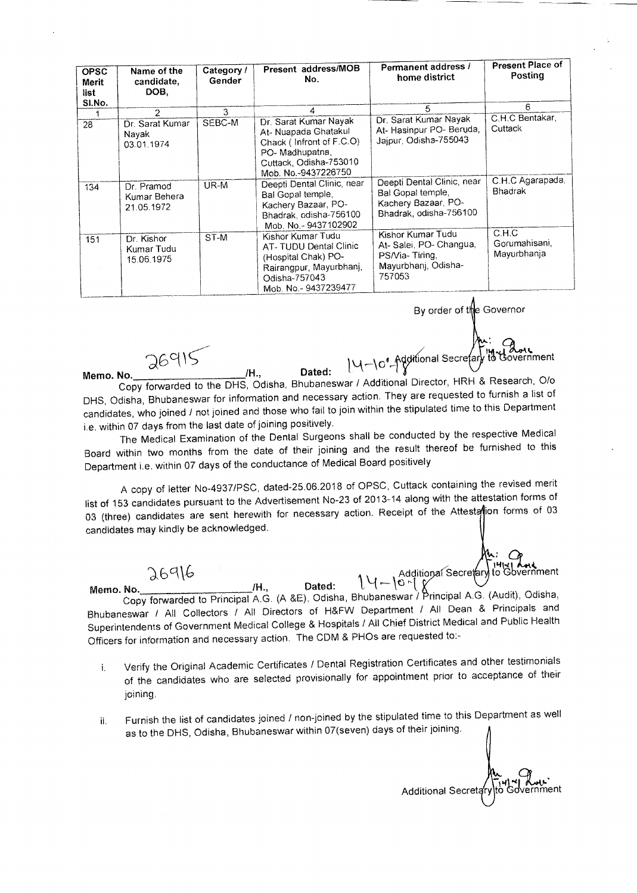| <b>OPSC</b><br>Merit<br>list<br>SI.No. | Name of the<br>candidate,<br>DOB.        | Category /<br>Gender | Present address/MOB<br>No.                                                                                                                   | Permanent address /<br>home district                                                             | <b>Present Place of</b><br>Posting    |
|----------------------------------------|------------------------------------------|----------------------|----------------------------------------------------------------------------------------------------------------------------------------------|--------------------------------------------------------------------------------------------------|---------------------------------------|
|                                        | 2                                        | 3                    |                                                                                                                                              | 5                                                                                                | 6.                                    |
| 28                                     | Dr. Sarat Kumar<br>Navak<br>03.01.1974   | SEBC-M               | Dr. Sarat Kumar Nayak<br>At- Nuapada Ghatakul<br>Chack (Infront of F.C.O)<br>PO-Madhupatna,<br>Cuttack, Odisha-753010<br>Mob. No.-9437226750 | Dr. Sarat Kumar Nayak<br>At-Hasinpur PO-Beruda,<br>Jajpur, Odisha-755043                         | C.H.C Bentakar,<br>Cuttack            |
| 134                                    | Dr. Pramod<br>Kumar Behera<br>21.05.1972 | UR-M                 | Deepti Dental Clinic, near<br>Bal Gopal temple,<br>Kachery Bazaar, PO-<br>Bhadrak, odisha-756100<br>Mob. No.-9437102902                      | Deepti Dental Clinic, near<br>Bal Gopal temple,<br>Kachery Bazaar, PO-<br>Bhadrak, odisha-756100 | C.H.C Agarapada,<br><b>Bhadrak</b>    |
| 151                                    | Dr. Kishor<br>Kumar Tudu<br>15.06.1975   | ST-M                 | Kishor Kumar Tudu<br>AT-TUDU Dental Clinic<br>(Hospital Chak) PO-<br>Rairangpur, Mayurbhanj,<br>Odisha-757043<br>Mob. No.-9437239477         | Kishor Kumar Tudu<br>At-Salei, PO-Changua,<br>PS/Via-Tiring,<br>Mayurbhanj, Odisha-<br>757053    | C.H.C<br>Gorumahisani,<br>Mayurbhanja |

By order of the Governor

range and the Castle of Additional Secretary to dovernment Memo. No. /H., Dated: 10-1\ Copy forwarded to the DHS, Odisha, Bhubaneswar / Additional Director, HRH & Research, 0/0 DHS, Odisha, Bhubaneswar for information and necessary action. They are requested to furnish a list of candidates, who joined / not joined and those who fail to join within the stipulated time to this Department i.e. within 07 days from the last date of joining positively.

The Medical Examination of the Dental Surgeons shall be conducted by the respective Medical Board within two months from the date of their joining and the result thereof be furnished to this Department i.e. within 07 days of the conductance of Medical Board positively

A copy of letter No-4937/PSC, dated-25.06.2018 of OPSC, Cuttack containing the revised merit list of 153 candidates pursuant to the Advertisement No-23 of 2013-14 along with the attestation forms of 03 (three) candidates are sent herewith for necessary action. Receipt of the Attestation forms of 03 candidates may kindly be acknowledged.

 $26916$ <br> $\frac{14.96916}{11.661}$ Memo. No. /H., Dated: 1\1 --- kt)j Copy forwarded to Principal A.G. (A &E), Odisha, Bhubaneswar /'principal A.G. (Audit), Odisha, Bhubaneswar / All Collectors / All Directors of H&FW Department / All Dean & Principals and Superintendents of Government Medical College & Hospitals / All Chief District Medical and Public Health Officers for information and necessary action. The CDM & PHOs are requested to:-

- i. Verify the Original Academic Certificates / Dental Registration Certificates and other testimonials of the candidates who are selected provisionally for appointment prior to acceptance of their joining.
- ii. Furnish the list of candidates joined / non-joined by the stipulated time to this Department as well as to the DHS, Odisha, Bhubaneswar within 07(seven) days of their joining.

Additional Secretary